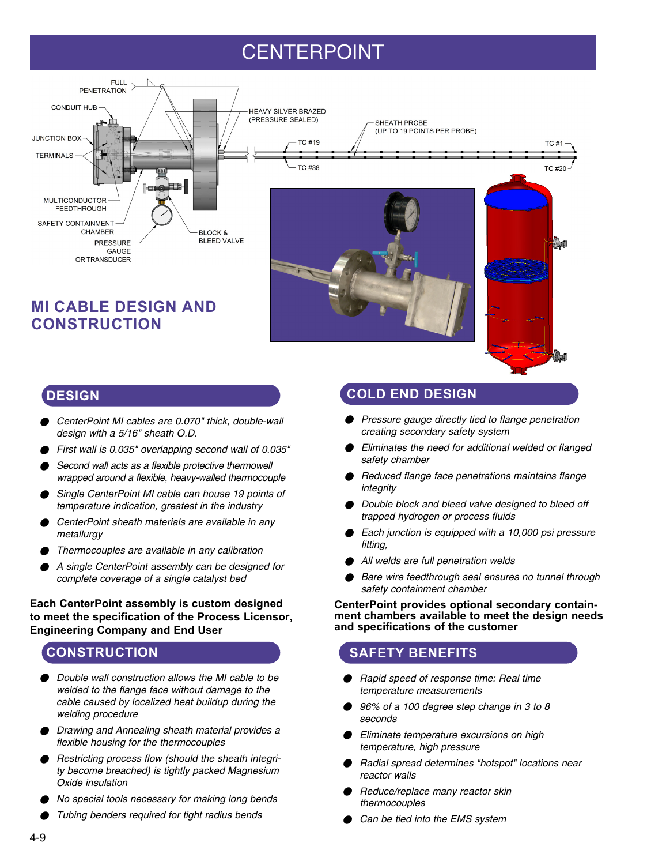# CENTERPOINT



# **MI CABLE DESIGN AND CONSTRUCTION**

# **COLD END DESIGN**

- Pressure gauge directly tied to flange penetration creating secondary safety system
- Eliminates the need for additional welded or flanged safety chamber
- Reduced flange face penetrations maintains flange integrity
- Double block and bleed valve designed to bleed off trapped hydrogen or process fluids
- Each junction is equipped with a 10,000 psi pressure fitting,
- All welds are full penetration welds
- Bare wire feedthrough seal ensures no tunnel through safety containment chamber

#### **CenterPoint provides optional secondary containment chambers available to meet the design needs and specifications of the customer**

## **SAFETY BENEFITS**

- Rapid speed of response time: Real time temperature measurements
- 96% of a 100 degree step change in 3 to 8 seconds
- Eliminate temperature excursions on high temperature, high pressure
- Radial spread determines "hotspot" locations near reactor walls
- **Reduce/replace many reactor skin** thermocouples
- Can be tied into the EMS system

## **DESIGN**

- CenterPoint MI cables are 0.070" thick, double-wall design with a 5/16" sheath O.D.
- First wall is 0.035" overlapping second wall of 0.035"
- Second wall acts as a flexible protective thermowell wrapped around a flexible, heavy-walled thermocouple
- Single CenterPoint MI cable can house 19 points of temperature indication, greatest in the industry
- CenterPoint sheath materials are available in any metallurgy
- Thermocouples are available in any calibration
- A single CenterPoint assembly can be designed for complete coverage of a single catalyst bed

#### **Each CenterPoint assembly is custom designed to meet the specification of the Process Licensor, Engineering Company and End User**

# **CONSTRUCTION**

- Double wall construction allows the MI cable to be welded to the flange face without damage to the cable caused by localized heat buildup during the welding procedure
- Drawing and Annealing sheath material provides a flexible housing for the thermocouples
- Restricting process flow (should the sheath integrity become breached) is tightly packed Magnesium Oxide insulation
- No special tools necessary for making long bends
- Tubing benders required for tight radius bends